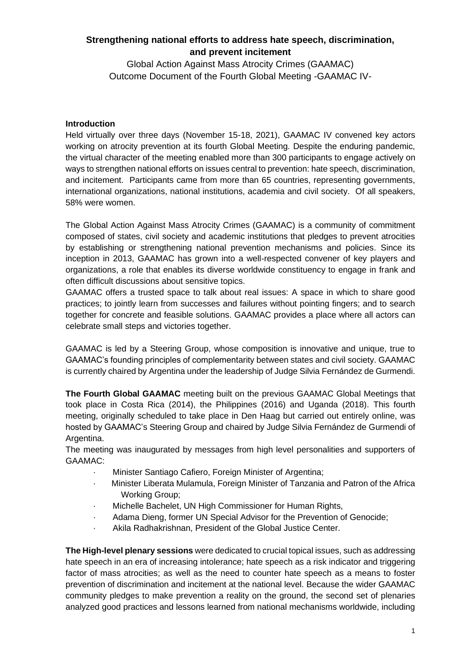# **Strengthening national efforts to address hate speech, discrimination, and prevent incitement**

Global Action Against Mass Atrocity Crimes (GAAMAC) Outcome Document of the Fourth Global Meeting -GAAMAC IV-

#### **Introduction**

Held virtually over three days (November 15-18, 2021), GAAMAC IV convened key actors working on atrocity prevention at its fourth Global Meeting. Despite the enduring pandemic, the virtual character of the meeting enabled more than 300 participants to engage actively on ways to strengthen national efforts on issues central to prevention: hate speech, discrimination, and incitement. Participants came from more than 65 countries, representing governments, international organizations, national institutions, academia and civil society. Of all speakers, 58% were women.

The Global Action Against Mass Atrocity Crimes (GAAMAC) is a community of commitment composed of states, civil society and academic institutions that pledges to prevent atrocities by establishing or strengthening national prevention mechanisms and policies. Since its inception in 2013, GAAMAC has grown into a well-respected convener of key players and organizations, a role that enables its diverse worldwide constituency to engage in frank and often difficult discussions about sensitive topics.

GAAMAC offers a trusted space to talk about real issues: A space in which to share good practices; to jointly learn from successes and failures without pointing fingers; and to search together for concrete and feasible solutions. GAAMAC provides a place where all actors can celebrate small steps and victories together.

GAAMAC is led by a Steering Group, whose composition is innovative and unique, true to GAAMAC's founding principles of complementarity between states and civil society. GAAMAC is currently chaired by Argentina under the leadership of Judge Silvia Fernández de Gurmendi.

**The Fourth Global GAAMAC** meeting built on the previous GAAMAC Global Meetings that took place in Costa Rica (2014), the Philippines (2016) and Uganda (2018). This fourth meeting, originally scheduled to take place in Den Haag but carried out entirely online, was hosted by GAAMAC's Steering Group and chaired by Judge Silvia Fernández de Gurmendi of Argentina.

The meeting was inaugurated by messages from high level personalities and supporters of GAAMAC:

- · Minister Santiago Cafiero, Foreign Minister of Argentina;
- · Minister Liberata Mulamula, Foreign Minister of Tanzania and Patron of the Africa Working Group;
- · Michelle Bachelet, UN High Commissioner for Human Rights,
- · Adama Dieng, former UN Special Advisor for the Prevention of Genocide;
- Akila Radhakrishnan, President of the Global Justice Center.

**The High-level plenary sessions** were dedicated to crucial topical issues, such as addressing hate speech in an era of increasing intolerance; hate speech as a risk indicator and triggering factor of mass atrocities; as well as the need to counter hate speech as a means to foster prevention of discrimination and incitement at the national level. Because the wider GAAMAC community pledges to make prevention a reality on the ground, the second set of plenaries analyzed good practices and lessons learned from national mechanisms worldwide, including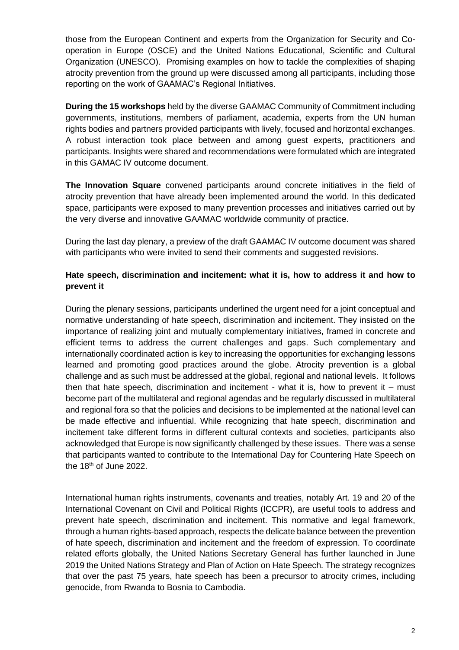those from the European Continent and experts from the Organization for Security and Cooperation in Europe (OSCE) and the United Nations Educational, Scientific and Cultural Organization (UNESCO). Promising examples on how to tackle the complexities of shaping atrocity prevention from the ground up were discussed among all participants, including those reporting on the work of GAAMAC's Regional Initiatives.

**During the 15 workshops** held by the diverse GAAMAC Community of Commitment including governments, institutions, members of parliament, academia, experts from the UN human rights bodies and partners provided participants with lively, focused and horizontal exchanges. A robust interaction took place between and among guest experts, practitioners and participants. Insights were shared and recommendations were formulated which are integrated in this GAMAC IV outcome document.

**The Innovation Square** convened participants around concrete initiatives in the field of atrocity prevention that have already been implemented around the world. In this dedicated space, participants were exposed to many prevention processes and initiatives carried out by the very diverse and innovative GAAMAC worldwide community of practice.

During the last day plenary, a preview of the draft GAAMAC IV outcome document was shared with participants who were invited to send their comments and suggested revisions.

## **Hate speech, discrimination and incitement: what it is, how to address it and how to prevent it**

During the plenary sessions, participants underlined the urgent need for a joint conceptual and normative understanding of hate speech, discrimination and incitement. They insisted on the importance of realizing joint and mutually complementary initiatives, framed in concrete and efficient terms to address the current challenges and gaps. Such complementary and internationally coordinated action is key to increasing the opportunities for exchanging lessons learned and promoting good practices around the globe. Atrocity prevention is a global challenge and as such must be addressed at the global, regional and national levels. It follows then that hate speech, discrimination and incitement - what it is, how to prevent it  $-$  must become part of the multilateral and regional agendas and be regularly discussed in multilateral and regional fora so that the policies and decisions to be implemented at the national level can be made effective and influential. While recognizing that hate speech, discrimination and incitement take different forms in different cultural contexts and societies, participants also acknowledged that Europe is now significantly challenged by these issues. There was a sense that participants wanted to contribute to the International Day for Countering Hate Speech on the 18<sup>th</sup> of June 2022.

International human rights instruments, covenants and treaties, notably Art. 19 and 20 of the International Covenant on Civil and Political Rights (ICCPR), are useful tools to address and prevent hate speech, discrimination and incitement. This normative and legal framework, through a human rights-based approach, respects the delicate balance between the prevention of hate speech, discrimination and incitement and the freedom of expression. To coordinate related efforts globally, the United Nations Secretary General has further launched in June 2019 the United Nations Strategy and Plan of Action on Hate Speech. The strategy recognizes that over the past 75 years, hate speech has been a precursor to atrocity crimes, including genocide, from Rwanda to Bosnia to Cambodia.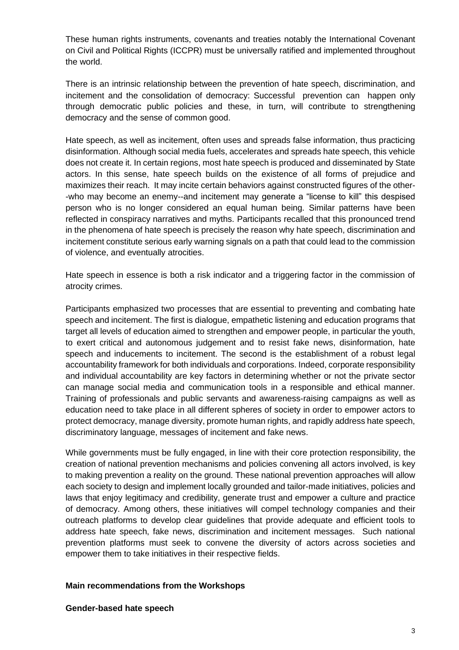These human rights instruments, covenants and treaties notably the International Covenant on Civil and Political Rights (ICCPR) must be universally ratified and implemented throughout the world.

There is an intrinsic relationship between the prevention of hate speech, discrimination, and incitement and the consolidation of democracy: Successful prevention can happen only through democratic public policies and these, in turn, will contribute to strengthening democracy and the sense of common good.

Hate speech, as well as incitement, often uses and spreads false information, thus practicing disinformation. Although social media fuels, accelerates and spreads hate speech, this vehicle does not create it. In certain regions, most hate speech is produced and disseminated by State actors. In this sense, hate speech builds on the existence of all forms of prejudice and maximizes their reach. It may incite certain behaviors against constructed figures of the other- -who may become an enemy--and incitement may generate a "license to kill" this despised person who is no longer considered an equal human being. Similar patterns have been reflected in conspiracy narratives and myths. Participants recalled that this pronounced trend in the phenomena of hate speech is precisely the reason why hate speech, discrimination and incitement constitute serious early warning signals on a path that could lead to the commission of violence, and eventually atrocities.

Hate speech in essence is both a risk indicator and a triggering factor in the commission of atrocity crimes.

Participants emphasized two processes that are essential to preventing and combating hate speech and incitement. The first is dialogue, empathetic listening and education programs that target all levels of education aimed to strengthen and empower people, in particular the youth, to exert critical and autonomous judgement and to resist fake news, disinformation, hate speech and inducements to incitement. The second is the establishment of a robust legal accountability framework for both individuals and corporations. Indeed, corporate responsibility and individual accountability are key factors in determining whether or not the private sector can manage social media and communication tools in a responsible and ethical manner. Training of professionals and public servants and awareness-raising campaigns as well as education need to take place in all different spheres of society in order to empower actors to protect democracy, manage diversity, promote human rights, and rapidly address hate speech, discriminatory language, messages of incitement and fake news.

While governments must be fully engaged, in line with their core protection responsibility, the creation of national prevention mechanisms and policies convening all actors involved, is key to making prevention a reality on the ground. These national prevention approaches will allow each society to design and implement locally grounded and tailor-made initiatives, policies and laws that enjoy legitimacy and credibility, generate trust and empower a culture and practice of democracy. Among others, these initiatives will compel technology companies and their outreach platforms to develop clear guidelines that provide adequate and efficient tools to address hate speech, fake news, discrimination and incitement messages. Such national prevention platforms must seek to convene the diversity of actors across societies and empower them to take initiatives in their respective fields.

#### **Main recommendations from the Workshops**

**Gender-based hate speech**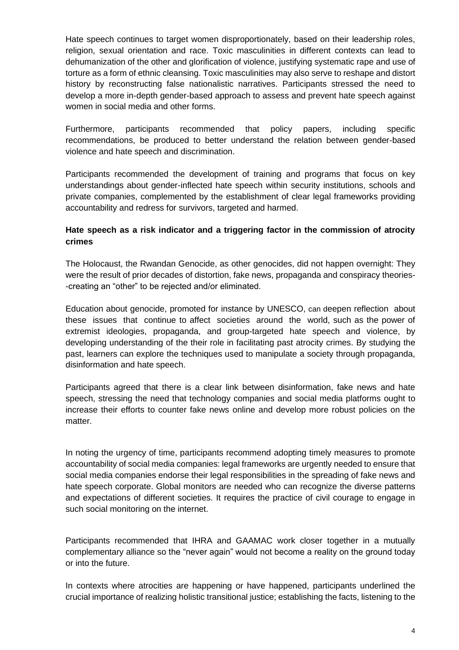Hate speech continues to target women disproportionately, based on their leadership roles, religion, sexual orientation and race. Toxic masculinities in different contexts can lead to dehumanization of the other and glorification of violence, justifying systematic rape and use of torture as a form of ethnic cleansing. Toxic masculinities may also serve to reshape and distort history by reconstructing false nationalistic narratives. Participants stressed the need to develop a more in-depth gender-based approach to assess and prevent hate speech against women in social media and other forms.

Furthermore, participants recommended that policy papers, including specific recommendations, be produced to better understand the relation between gender-based violence and hate speech and discrimination.

Participants recommended the development of training and programs that focus on key understandings about gender-inflected hate speech within security institutions, schools and private companies, complemented by the establishment of clear legal frameworks providing accountability and redress for survivors, targeted and harmed.

## **Hate speech as a risk indicator and a triggering factor in the commission of atrocity crimes**

The Holocaust, the Rwandan Genocide, as other genocides, did not happen overnight: They were the result of prior decades of distortion, fake news, propaganda and conspiracy theories- -creating an "other" to be rejected and/or eliminated.

Education about genocide, promoted for instance by UNESCO, can deepen reflection about these issues that continue to affect societies around the world, such as the power of extremist ideologies, propaganda, and group-targeted hate speech and violence, by developing understanding of the their role in facilitating past atrocity crimes. By studying the past, learners can explore the techniques used to manipulate a society through propaganda, disinformation and hate speech.

Participants agreed that there is a clear link between disinformation, fake news and hate speech, stressing the need that technology companies and social media platforms ought to increase their efforts to counter fake news online and develop more robust policies on the matter.

In noting the urgency of time, participants recommend adopting timely measures to promote accountability of social media companies: legal frameworks are urgently needed to ensure that social media companies endorse their legal responsibilities in the spreading of fake news and hate speech corporate. Global monitors are needed who can recognize the diverse patterns and expectations of different societies. It requires the practice of civil courage to engage in such social monitoring on the internet.

Participants recommended that IHRA and GAAMAC work closer together in a mutually complementary alliance so the "never again" would not become a reality on the ground today or into the future.

In contexts where atrocities are happening or have happened, participants underlined the crucial importance of realizing holistic transitional justice; establishing the facts, listening to the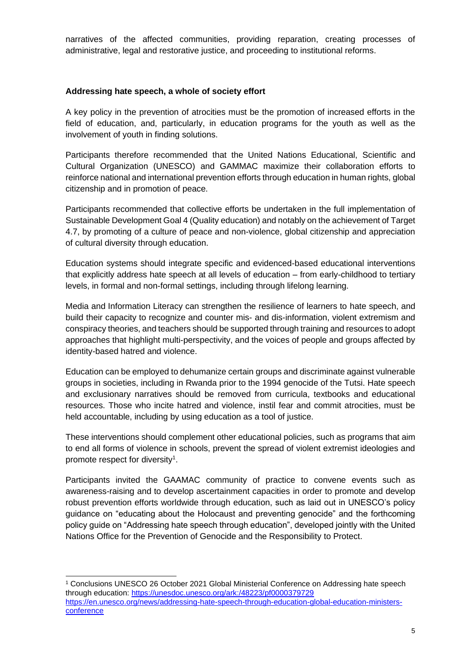narratives of the affected communities, providing reparation, creating processes of administrative, legal and restorative justice, and proceeding to institutional reforms.

#### **Addressing hate speech, a whole of society effort**

A key policy in the prevention of atrocities must be the promotion of increased efforts in the field of education, and, particularly, in education programs for the youth as well as the involvement of youth in finding solutions.

Participants therefore recommended that the United Nations Educational, Scientific and Cultural Organization (UNESCO) and GAMMAC maximize their collaboration efforts to reinforce national and international prevention efforts through education in human rights, global citizenship and in promotion of peace.

Participants recommended that collective efforts be undertaken in the full implementation of Sustainable Development Goal 4 (Quality education) and notably on the achievement of Target 4.7, by promoting of a culture of peace and non-violence, global citizenship and appreciation of cultural diversity through education.

Education systems should integrate specific and evidenced-based educational interventions that explicitly address hate speech at all levels of education – from early-childhood to tertiary levels, in formal and non-formal settings, including through lifelong learning.

Media and Information Literacy can strengthen the resilience of learners to hate speech, and build their capacity to recognize and counter mis- and dis-information, violent extremism and conspiracy theories, and teachers should be supported through training and resources to adopt approaches that highlight multi-perspectivity, and the voices of people and groups affected by identity-based hatred and violence.

Education can be employed to dehumanize certain groups and discriminate against vulnerable groups in societies, including in Rwanda prior to the 1994 genocide of the Tutsi. Hate speech and exclusionary narratives should be removed from curricula, textbooks and educational resources. Those who incite hatred and violence, instil fear and commit atrocities, must be held accountable, including by using education as a tool of justice.

These interventions should complement other educational policies, such as programs that aim to end all forms of violence in schools, prevent the spread of violent extremist ideologies and promote respect for diversity<sup>1</sup>.

Participants invited the GAAMAC community of practice to convene events such as awareness-raising and to develop ascertainment capacities in order to promote and develop robust prevention efforts worldwide through education, such as laid out in UNESCO's policy guidance on "educating about the Holocaust and preventing genocide" and the forthcoming policy guide on "Addressing hate speech through education", developed jointly with the United Nations Office for the Prevention of Genocide and the Responsibility to Protect.

<sup>1</sup> Conclusions UNESCO 26 October 2021 Global Ministerial Conference on Addressing hate speech through education:<https://unesdoc.unesco.org/ark:/48223/pf0000379729> [https://en.unesco.org/news/addressing-hate-speech-through-education-global-education-ministers](https://en.unesco.org/news/addressing-hate-speech-through-education-global-education-ministers-conference)[conference](https://en.unesco.org/news/addressing-hate-speech-through-education-global-education-ministers-conference)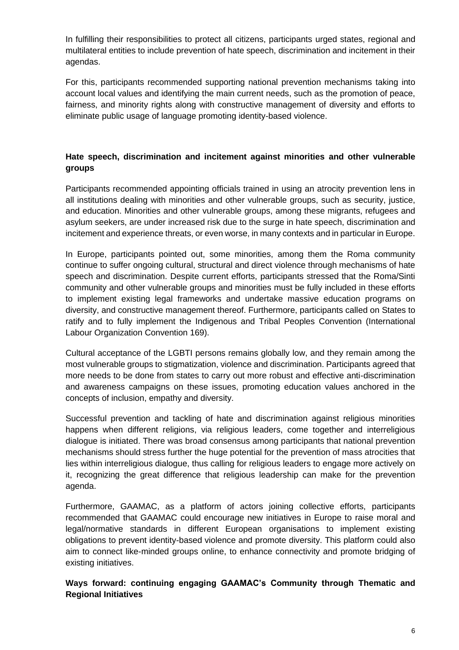In fulfilling their responsibilities to protect all citizens, participants urged states, regional and multilateral entities to include prevention of hate speech, discrimination and incitement in their agendas.

For this, participants recommended supporting national prevention mechanisms taking into account local values and identifying the main current needs, such as the promotion of peace, fairness, and minority rights along with constructive management of diversity and efforts to eliminate public usage of language promoting identity-based violence.

## **Hate speech, discrimination and incitement against minorities and other vulnerable groups**

Participants recommended appointing officials trained in using an atrocity prevention lens in all institutions dealing with minorities and other vulnerable groups, such as security, justice, and education. Minorities and other vulnerable groups, among these migrants, refugees and asylum seekers, are under increased risk due to the surge in hate speech, discrimination and incitement and experience threats, or even worse, in many contexts and in particular in Europe.

In Europe, participants pointed out, some minorities, among them the Roma community continue to suffer ongoing cultural, structural and direct violence through mechanisms of hate speech and discrimination. Despite current efforts, participants stressed that the Roma/Sinti community and other vulnerable groups and minorities must be fully included in these efforts to implement existing legal frameworks and undertake massive education programs on diversity, and constructive management thereof. Furthermore, participants called on States to ratify and to fully implement the Indigenous and Tribal Peoples Convention (International Labour Organization Convention 169).

Cultural acceptance of the LGBTI persons remains globally low, and they remain among the most vulnerable groups to stigmatization, violence and discrimination. Participants agreed that more needs to be done from states to carry out more robust and effective anti-discrimination and awareness campaigns on these issues, promoting education values anchored in the concepts of inclusion, empathy and diversity.

Successful prevention and tackling of hate and discrimination against religious minorities happens when different religions, via religious leaders, come together and interreligious dialogue is initiated. There was broad consensus among participants that national prevention mechanisms should stress further the huge potential for the prevention of mass atrocities that lies within interreligious dialogue, thus calling for religious leaders to engage more actively on it, recognizing the great difference that religious leadership can make for the prevention agenda.

Furthermore, GAAMAC, as a platform of actors joining collective efforts, participants recommended that GAAMAC could encourage new initiatives in Europe to raise moral and legal/normative standards in different European organisations to implement existing obligations to prevent identity-based violence and promote diversity. This platform could also aim to connect like-minded groups online, to enhance connectivity and promote bridging of existing initiatives.

## **Ways forward: continuing engaging GAAMAC's Community through Thematic and Regional Initiatives**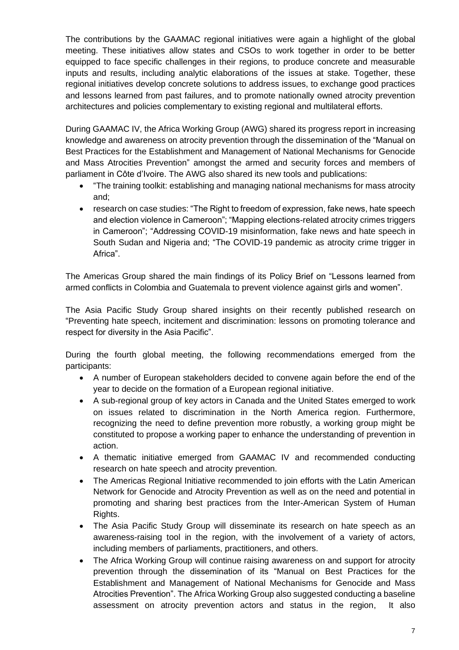The contributions by the GAAMAC regional initiatives were again a highlight of the global meeting. These initiatives allow states and CSOs to work together in order to be better equipped to face specific challenges in their regions, to produce concrete and measurable inputs and results, including analytic elaborations of the issues at stake. Together, these regional initiatives develop concrete solutions to address issues, to exchange good practices and lessons learned from past failures, and to promote nationally owned atrocity prevention architectures and policies complementary to existing regional and multilateral efforts.

During GAAMAC IV, the Africa Working Group (AWG) shared its progress report in increasing knowledge and awareness on atrocity prevention through the dissemination of the "Manual on Best Practices for the Establishment and Management of National Mechanisms for Genocide and Mass Atrocities Prevention" amongst the armed and security forces and members of parliament in Côte d'Ivoire. The AWG also shared its new tools and publications:

- "The training toolkit: establishing and managing national mechanisms for mass atrocity and;
- research on case studies: "The Right to freedom of expression, fake news, hate speech and election violence in Cameroon"; "Mapping elections-related atrocity crimes triggers in Cameroon"; "Addressing COVID-19 misinformation, fake news and hate speech in South Sudan and Nigeria and; "The COVID-19 pandemic as atrocity crime trigger in Africa".

The Americas Group shared the main findings of its Policy Brief on "Lessons learned from armed conflicts in Colombia and Guatemala to prevent violence against girls and women".

The Asia Pacific Study Group shared insights on their recently published research on "Preventing hate speech, incitement and discrimination: lessons on promoting tolerance and respect for diversity in the Asia Pacific".

During the fourth global meeting, the following recommendations emerged from the participants:

- A number of European stakeholders decided to convene again before the end of the year to decide on the formation of a European regional initiative.
- A sub-regional group of key actors in Canada and the United States emerged to work on issues related to discrimination in the North America region. Furthermore, recognizing the need to define prevention more robustly, a working group might be constituted to propose a working paper to enhance the understanding of prevention in action.
- A thematic initiative emerged from GAAMAC IV and recommended conducting research on hate speech and atrocity prevention.
- The Americas Regional Initiative recommended to join efforts with the Latin American Network for Genocide and Atrocity Prevention as well as on the need and potential in promoting and sharing best practices from the Inter-American System of Human Rights.
- The Asia Pacific Study Group will disseminate its research on hate speech as an awareness-raising tool in the region, with the involvement of a variety of actors, including members of parliaments, practitioners, and others.
- The Africa Working Group will continue raising awareness on and support for atrocity prevention through the dissemination of its "Manual on Best Practices for the Establishment and Management of National Mechanisms for Genocide and Mass Atrocities Prevention". The Africa Working Group also suggested conducting a baseline assessment on atrocity prevention actors and status in the region, It also